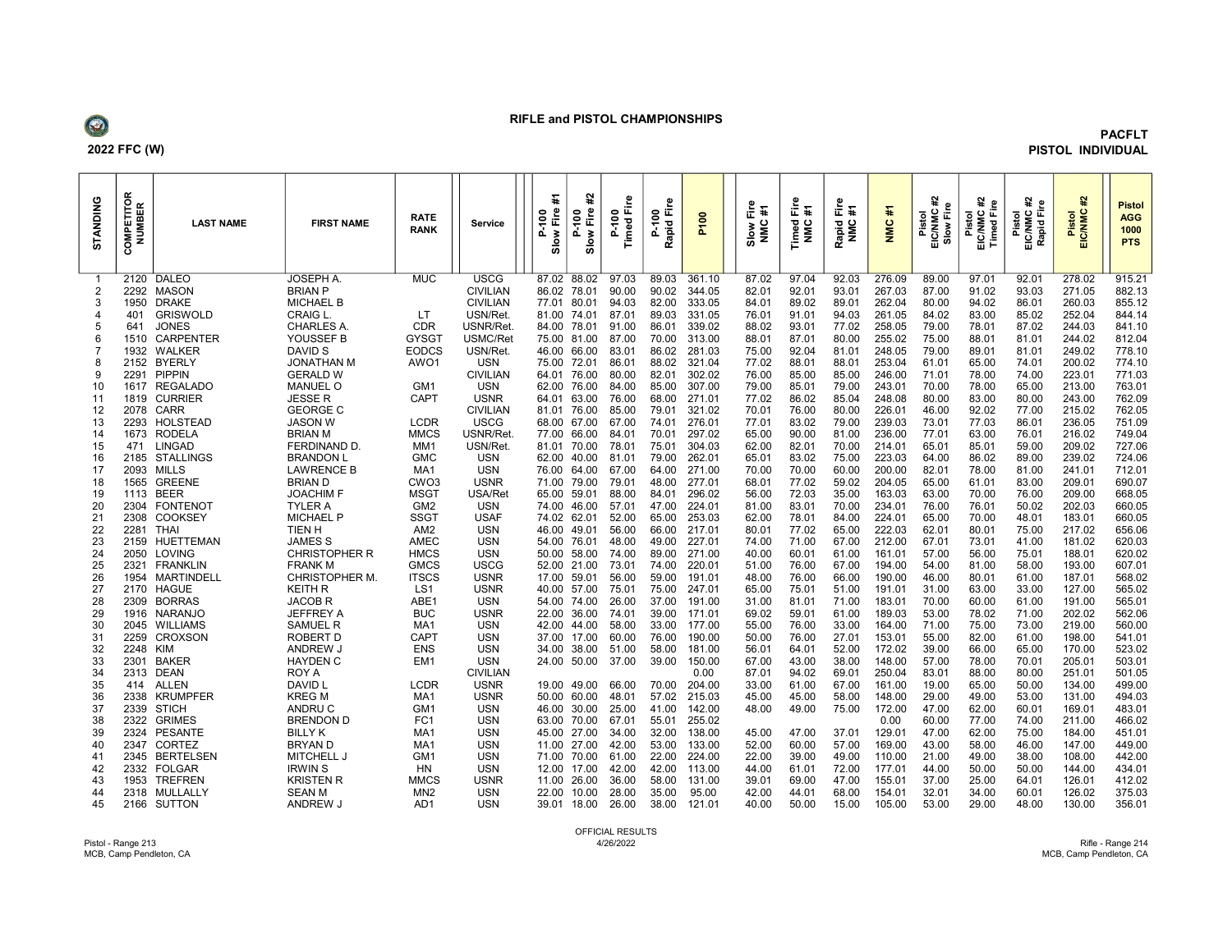

## RIFLE and PISTOL CHAMPIONSHIPS

## PACFLT PISTOL INDIVIDUAL

| ANDING<br>5 | α<br>PETITOI<br>IMBER<br>∍<br>z.<br>O<br>$\sigma$ | <b>LAST NAME</b>                | <b>FIRST NAME</b>                 | <b>RATE</b><br><b>RANK</b>      | Service                        | ¥<br>È<br>E<br>ă.<br>$\frac{8}{10}$<br>$\Omega$ | 윭<br>Ê<br>E<br>ã,<br>Slow<br>≏ | ႜႍ<br>ίī.<br>ខ<br>Timed<br>o. | Fire<br>$\frac{6}{2}$<br>apid<br>௨<br>œ | <b>P100</b>      | Fire<br>¥<br>NNC<br>Slow | Ŧ<br>正<br>Timed<br>NMC | $\frac{6}{10}$ #<br>Rapid<br>NMC | 菲<br>NINC        | 윭<br>Pistol<br>EIC/NMC<br>Slow Fir | 윭<br>Fire<br>Pistol<br>EIC/NMC<br>Timed Fii | に<br>Fire<br>Pistol<br>EIC/NMC<br>Rapid Fir | 윭<br>Pistol<br>EIC/NMC | <b>Pistol</b><br><b>AGG</b><br>1000<br><b>PTS</b> |  |
|-------------|---------------------------------------------------|---------------------------------|-----------------------------------|---------------------------------|--------------------------------|-------------------------------------------------|--------------------------------|-------------------------------|-----------------------------------------|------------------|--------------------------|------------------------|----------------------------------|------------------|------------------------------------|---------------------------------------------|---------------------------------------------|------------------------|---------------------------------------------------|--|
|             |                                                   | 2120 DALEO                      | <b>JOSEPH A</b>                   | <b>MUC</b>                      | <b>USCG</b>                    |                                                 | 87.02 88.02                    | 97.03                         | 89.03                                   | 361.10           | 87.02                    | 97.04                  | 92.03                            | 276.09           | 89.00                              | 97.01                                       | 92.01                                       | 278.02                 | 915.21                                            |  |
| 2           | 2292                                              | <b>MASON</b>                    | <b>BRIAN P</b>                    |                                 | <b>CIVILIAN</b>                |                                                 | 86.02 78.01                    | 90.00                         | 90.02                                   | 344.05           | 82.01                    | 92.01                  | 93.01                            | 267.03           | 87.00                              | 91.02                                       | 93.03                                       | 271.05                 | 882.13                                            |  |
| 3           | 1950                                              | <b>DRAKE</b>                    | <b>MICHAEL B</b>                  |                                 | <b>CIVILIAN</b>                |                                                 | 77.01 80.01                    | 94.03                         | 82.00                                   | 333.05           | 84.01                    | 89.02                  | 89.01                            | 262.04           | 80.00                              | 94.02                                       | 86.01                                       | 260.03                 | 855.12                                            |  |
|             | 401                                               | <b>GRISWOLD</b>                 | CRAIG L.                          | LT                              | USN/Ret.                       |                                                 | 81.00 74.01                    | 87.01                         | 89.03                                   | 331.05           | 76.01                    | 91.01                  | 94.03                            | 261.05           | 84.02                              | 83.00                                       | 85.02                                       | 252.04                 | 844.14                                            |  |
| 5           | 641                                               | <b>JONES</b>                    | <b>CHARLES A.</b>                 | CDR                             | USNR/Ret                       |                                                 | 84.00 78.01                    | 91.00                         | 86.01                                   | 339.02           | 88.02                    | 93.01                  | 77.02                            | 258.05           | 79.00                              | 78.01                                       | 87.02                                       | 244.03                 | 841.10                                            |  |
|             | 1510                                              | <b>CARPENTER</b>                | YOUSSEF B                         | GYSG <sup>-</sup>               | USMC/Ret                       |                                                 | 75.00 81.00                    | 87.00                         | 70.00                                   | 313.00           | 88.01                    | 87.01                  | 80.00                            | 255.02           | 75.00                              | 88.01                                       | 81.01                                       | 244.02                 | 812.04                                            |  |
|             |                                                   | 1932 WALKER                     | DAVID S                           | <b>EODCS</b>                    | USN/Ret                        |                                                 | 46.00 66.00                    | 83.01                         | 86.02                                   | 281.03           | 75.00                    | 92.04                  | 81.01                            | 248.05           | 79.00                              | 89.01                                       | 81.01                                       | 249.02                 | 778.10                                            |  |
| 8           |                                                   | 2152 BYERLY                     | <b>JONATHAN M</b>                 | AWO1                            | <b>USN</b>                     |                                                 | 75.00 72.01                    | 86.01                         | 88.02                                   | 321.04           | 77.02                    | 88.01                  | 88.01                            | 253.04           | 61.01                              | 65.00                                       | 74.01                                       | 200.02                 | 774.10                                            |  |
| 9           | 2291                                              | <b>PIPPIN</b>                   | <b>GERALD W</b>                   |                                 | <b>CIVILIAN</b>                |                                                 | 64.01 76.00                    | 80.00                         | 82.01                                   | 302.02           | 76.00                    | 85.00                  | 85.00                            | 246.00           | 71.01                              | 78.00                                       | 74.00                                       | 223.01                 | 771.03                                            |  |
| 10          | 1617                                              | <b>REGALADO</b>                 | <b>MANUEL O</b>                   | GM <sub>1</sub><br>CAPT         | <b>USN</b>                     |                                                 | 62.00 76.00                    | 84.00                         | 85.00                                   | 307.00           | 79.00                    | 85.01                  | 79.00                            | 243.01           | 70.00                              | 78.00                                       | 65.00                                       | 213.00                 | 763.01                                            |  |
| 11<br>12    | 1819<br>2078                                      | <b>CURRIER</b><br><b>CARR</b>   | JESSE R<br><b>GEORGE C</b>        |                                 | <b>USNR</b><br><b>CIVILIAN</b> |                                                 | 64.01 63.00<br>81.01 76.00     | 76.00<br>85.00                | 68.00<br>79.01                          | 271.01<br>321.02 | 77.02<br>70.01           | 86.02<br>76.00         | 85.04<br>80.00                   | 248.08<br>226.01 | 80.00<br>46.00                     | 83.00<br>92.02                              | 80.00<br>77.00                              | 243.00<br>215.02       | 762.09<br>762.05                                  |  |
| 13          | 2293                                              | <b>HOLSTEAD</b>                 | <b>JASON W</b>                    | <b>LCDR</b>                     | <b>USCG</b>                    |                                                 | 68.00 67.00                    | 67.00                         | 74.01                                   | 276.01           | 77.01                    | 83.02                  | 79.00                            | 239.03           | 73.01                              | 77.03                                       | 86.01                                       | 236.05                 | 751.09                                            |  |
| 14          | 1673                                              | <b>RODELA</b>                   | <b>BRIAN M</b>                    | <b>MMCS</b>                     | USNR/Ret                       |                                                 | 77.00 66.00                    | 84.01                         | 70.01                                   | 297.02           | 65.00                    | 90.00                  | 81.00                            | 236.00           | 77.01                              | 63.00                                       | 76.01                                       | 216.02                 | 749.04                                            |  |
| 15          | 471                                               | LINGAD                          | <b>FERDINAND D</b>                | MM <sub>1</sub>                 | USN/Ret                        |                                                 | 81.01 70.00                    | 78.01                         | 75.01                                   | 304.03           | 62.00                    | 82.01                  | 70.00                            | 214.01           | 65.01                              | 85.01                                       | 59.00                                       | 209.02                 | 727.06                                            |  |
| 16          |                                                   | 2185 STALLINGS                  | <b>BRANDON L</b>                  | <b>GMC</b>                      | USN                            |                                                 | 62.00 40.00                    | 81.01                         | 79.00                                   | 262.01           | 65.01                    | 83.02                  | 75.00                            | 223.03           | 64.00                              | 86.02                                       | 89.00                                       | 239.02                 | 724.06                                            |  |
| 17          | 2093                                              | <b>MILLS</b>                    | <b>LAWRENCE B</b>                 | MA <sub>1</sub>                 | <b>USN</b>                     |                                                 | 76.00 64.00                    | 67.00                         | 64.00                                   | 271.00           | 70.00                    | 70.00                  | 60.00                            | 200.00           | 82.01                              | 78.00                                       | 81.00                                       | 241.01                 | 712.01                                            |  |
| -18         | 1565                                              | <b>GREENE</b>                   | <b>BRIAN D</b>                    | CW <sub>O3</sub>                | <b>USNR</b>                    |                                                 | 71.00 79.00                    | 79.01                         | 48.00                                   | 277.01           | 68.01                    | 77.02                  | 59.02                            | 204.05           | 65.00                              | 61.01                                       | 83.00                                       | 209.01                 | 690.07                                            |  |
| 19          | 1113                                              | <b>BEER</b>                     | <b>JOACHIM F</b>                  | <b>MSGT</b>                     | USA/Ret                        |                                                 | 65.00 59.01                    | 88.00                         | 84.01                                   | 296.02           | 56.00                    | 72.03                  | 35.00                            | 163.03           | 63.00                              | 70.00                                       | 76.00                                       | 209.00                 | 668.05                                            |  |
| 20          | 2304                                              | <b>FONTENOT</b>                 | <b>TYLER A</b>                    | GM <sub>2</sub>                 | <b>USN</b>                     |                                                 | 74.00 46.00                    | 57.01                         | 47.00                                   | 224.01           | 81.00                    | 83.01                  | 70.00                            | 234.01           | 76.00                              | 76.01                                       | 50.02                                       | 202.03                 | 660.05                                            |  |
| 21          | 2308                                              | <b>COOKSEY</b>                  | <b>MICHAEL P</b>                  | <b>SSGT</b>                     | <b>USAF</b>                    |                                                 | 74.02 62.01                    | 52.00                         | 65.00                                   | 253.03           | 62.00                    | 78.01                  | 84.00                            | 224.01           | 65.00                              | 70.00                                       | 48.01                                       | 183.01                 | 660.05                                            |  |
| 22          | 2281                                              | THAI                            | TIEN H                            | AM <sub>2</sub>                 | <b>USN</b>                     |                                                 | 46.00 49.01                    | 56.00                         | 66.00                                   | 217.01           | 80.01                    | 77.02                  | 65.00                            | 222.03           | 62.01                              | 80.01                                       | 75.00                                       | 217.02                 | 656.06                                            |  |
| 23          |                                                   | 2159 HUETTEMAN                  | <b>JAMES S</b>                    | AMEC                            | <b>USN</b>                     |                                                 | 54.00 76.01                    | 48.00                         | 49.00                                   | 227.01           | 74.00                    | 71.00                  | 67.00                            | 212.00           | 67.01                              | 73.01                                       | 41.00                                       | 181.02                 | 620.03                                            |  |
| 24          |                                                   | 2050 LOVING                     | <b>CHRISTOPHER R</b>              | <b>HMCS</b>                     | <b>USN</b>                     |                                                 | 50.00 58.00                    | 74.00                         | 89.00                                   | 271.00           | 40.00                    | 60.01                  | 61.00                            | 161.01           | 57.00                              | 56.00                                       | 75.01                                       | 188.01                 | 620.02                                            |  |
| 25          | 2321                                              | <b>FRANKLIN</b>                 | <b>FRANK M</b>                    | <b>GMCS</b>                     | <b>USCG</b>                    |                                                 | 52.00 21.00                    | 73.01                         | 74.00                                   | 220.01           | 51.00                    | 76.00                  | 67.00                            | 194.00           | 54.00                              | 81.00                                       | 58.00                                       | 193.00                 | 607.01                                            |  |
| 26<br>27    | 2170                                              | 1954 MARTINDELL<br><b>HAGUE</b> | <b>CHRISTOPHER M</b><br>KEITH R   | <b>ITSCS</b><br>LS <sub>1</sub> | <b>USNR</b><br><b>USNR</b>     |                                                 | 17.00 59.01<br>40.00 57.00     | 56.00<br>75.01                | 59.00<br>75.00                          | 191.01           | 48.00<br>65.00           | 76.00<br>75.01         | 66.00<br>51.00                   | 190.00<br>191.01 | 46.00<br>31.00                     | 80.01<br>63.00                              | 61.00<br>33.00                              | 187.01<br>127.00       | 568.02<br>565.02                                  |  |
| -28         | 2309                                              | <b>BORRAS</b>                   | <b>JACOB R</b>                    | ABE1                            | <b>USN</b>                     |                                                 | 54.00 74.00                    | 26.00                         | 37.00                                   | 247.01<br>191.00 | 31.00                    | 81.01                  | 71.00                            | 183.01           | 70.00                              | 60.00                                       | 61.00                                       | 191.00                 | 565.01                                            |  |
| 29          |                                                   | 1916 NARANJO                    | JEFFREY A                         | <b>BUC</b>                      | USNR                           |                                                 | 22.00 36.00                    | 74.01                         | 39.00                                   | 171.01           | 69.02                    | 59.01                  | 61.00                            | 189.03           | 53.00                              | 78.02                                       | 71.00                                       | 202.02                 | 562.06                                            |  |
| 30          |                                                   | 2045 WILLIAMS                   | <b>SAMUEL R</b>                   | MA <sub>1</sub>                 | <b>USN</b>                     |                                                 | 42.00 44.00                    | 58.00                         | 33.00                                   | 177.00           | 55.00                    | 76.00                  | 33.00                            | 164.00           | 71.00                              | 75.00                                       | 73.00                                       | 219.00                 | 560.00                                            |  |
| 31          | 2259                                              | <b>CROXSON</b>                  | <b>ROBERT D</b>                   | CAPT                            | <b>USN</b>                     |                                                 | 37.00 17.00                    | 60.00                         | 76.00                                   | 190.00           | 50.00                    | 76.00                  | 27.01                            | 153.01           | 55.00                              | 82.00                                       | 61.00                                       | 198.00                 | 541.01                                            |  |
| 32          | 2248                                              | KIM                             | ANDREW J                          | <b>ENS</b>                      | <b>USN</b>                     |                                                 | 34.00 38.00                    | 51.00                         | 58.00                                   | 181.00           | 56.01                    | 64.01                  | 52.00                            | 172.02           | 39.00                              | 66.00                                       | 65.00                                       | 170.00                 | 523.02                                            |  |
| 33          | 2301                                              | <b>BAKER</b>                    | <b>HAYDEN C</b>                   | EM1                             | <b>USN</b>                     |                                                 | 24.00 50.00                    | 37.00                         | 39.00                                   | 150.00           | 67.00                    | 43.00                  | 38.00                            | 148.00           | 57.00                              | 78.00                                       | 70.01                                       | 205.01                 | 503.01                                            |  |
| 34          | 2313                                              | <b>DEAN</b>                     | ROY A                             |                                 | <b>CIVILIAN</b>                |                                                 |                                |                               |                                         | 0.00             | 87.01                    | 94.02                  | 69.01                            | 250.04           | 83.01                              | 88.00                                       | 80.00                                       | 251.01                 | 501.05                                            |  |
| 35          | 414                                               | ALLEN                           | DAVID L                           | <b>LCDR</b>                     | <b>USNR</b>                    |                                                 | 19.00 49.00                    | 66.00                         | 70.00                                   | 204.00           | 33.00                    | 61.00                  | 67.00                            | 161.00           | 19.00                              | 65.00                                       | 50.00                                       | 134.00                 | 499.00                                            |  |
| 36          | 2338                                              | <b>KRUMPFER</b>                 | <b>KREG M</b>                     | MA1                             | <b>USNR</b>                    |                                                 | 50.00 60.00                    | 48.01                         | 57.02                                   | 215.03           | 45.00                    | 45.00                  | 58.00                            | 148.00           | 29.00                              | 49.00                                       | 53.00                                       | 131.00                 | 494.03                                            |  |
| 37          | 2339                                              | <b>STICH</b>                    | ANDRU C                           | GM <sub>1</sub>                 | <b>USN</b>                     |                                                 | 46.00 30.00                    | 25.00                         | 41.00                                   | 142.00           | 48.00                    | 49.00                  | 75.00                            | 172.00           | 47.00                              | 62.00                                       | 60.01                                       | 169.01                 | 483.01                                            |  |
| 38          | 2322                                              | <b>GRIMES</b>                   | <b>BRENDON D</b>                  | FC <sub>1</sub>                 | <b>USN</b>                     |                                                 | 63.00 70.00                    | 67.01                         | 55.01                                   | 255.02           |                          |                        |                                  | 0.00             | 60.00                              | 77.00                                       | 74.00                                       | 211.00                 | 466.02                                            |  |
| 39          | 2324                                              | PESANTE                         | <b>BILLY K</b>                    | MA <sub>1</sub>                 | <b>USN</b>                     |                                                 | 45.00 27.00                    | 34.00                         | 32.00                                   | 138.00           | 45.00                    | 47.00                  | 37.01                            | 129.01           | 47.00                              | 62.00                                       | 75.00                                       | 184.00                 | 451.01                                            |  |
| 40          | 2347                                              | <b>CORTEZ</b>                   | BRYAN D                           | MA1                             | <b>USN</b>                     |                                                 | 11.00 27.00                    | 42.00                         | 53.00                                   | 133.00           | 52.00                    | 60.00                  | 57.00                            | 169.00           | 43.00                              | 58.00                                       | 46.00                                       | 147.00                 | 449.00                                            |  |
| 41          | 2345                                              | <b>BERTELSEN</b>                | <b>MITCHELL J</b>                 | GM <sub>1</sub>                 | <b>USN</b>                     |                                                 | 71.00 70.00                    | 61.00                         | 22.00                                   | 224.00           | 22.00                    | 39.00                  | 49.00                            | 110.00           | 21.00                              | 49.00                                       | 38.00                                       | 108.00                 | 442.00                                            |  |
| 42          |                                                   | 2332 FOLGAR                     | <b>IRWIN S</b>                    | <b>HN</b>                       | USN                            |                                                 | 12.00 17.00                    | 42.00                         | 42.00                                   | 113.00           | 44.00                    | 61.01                  | 72.00                            | 177.01           | 44.00                              | 50.00                                       | 50.00                                       | 144.00                 | 434.01                                            |  |
| 43<br>44    | 1953                                              | <b>TREFREN</b><br>2318 MULLALLY | <b>KRISTEN R</b><br><b>SEAN M</b> | <b>MMCS</b><br>MN <sub>2</sub>  | USNR<br><b>USN</b>             |                                                 | 11.00 26.00<br>22.00 10.00     | 36.00<br>28.00                | 58.00<br>35.00                          | 131.00<br>95.00  | 39.01<br>42.00           | 69.00<br>44.01         | 47.00<br>68.00                   | 155.01<br>154.01 | 37.00<br>32.01                     | 25.00<br>34.00                              | 64.01<br>60.01                              | 126.01<br>126.02       | 412.02<br>375.03                                  |  |
| 45          |                                                   | 2166 SUTTON                     | ANDREW J                          | AD1                             | <b>USN</b>                     |                                                 | 39.01 18.00                    | 26.00                         | 38.00                                   | 121.01           | 40.00                    | 50.00                  | 15.00                            | 105.00           | 53.00                              | 29.00                                       | 48.00                                       | 130.00                 | 356.01                                            |  |
|             |                                                   |                                 |                                   |                                 |                                |                                                 |                                |                               |                                         |                  |                          |                        |                                  |                  |                                    |                                             |                                             |                        |                                                   |  |

Pistol - Range 213 MCB, Camp Pendleton, CA